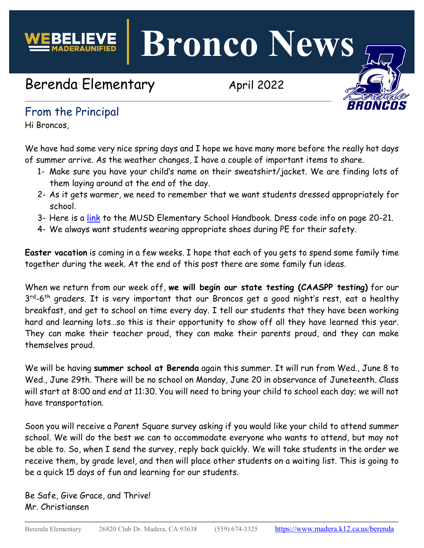**Bronco News**

# Berenda Elementary April 2022



# From the Principal

Hi Broncos,

We have had some very nice spring days and I hope we have many more before the really hot days of summer arrive. As the weather changes, I have a couple of important items to share.

- 1- Make sure you have your child's name on their sweatshirt/jacket. We are finding lots of them laying around at the end of the day.
- 2- As it gets warmer, we need to remember that we want students dressed appropriately for school.
- 3- Here is a [link](https://www.madera.k12.ca.us/site/handlers/filedownload.ashx?moduleinstanceid=22711&dataid=39286&FileName=Elementary%20Site%20Handbook%202021-2022.pdf) to the MUSD Elementary School Handbook. Dress code info on page 20-21.
- 4- We always want students wearing appropriate shoes during PE for their safety.

**Easter vacation** is coming in a few weeks. I hope that each of you gets to spend some family time together during the week. At the end of this post there are some family fun ideas.

When we return from our week off, **we will begin our state testing (CAASPP testing)** for our  $3^{rd}-6^{th}$  graders. It is very important that our Broncos get a good night's rest, eat a healthy breakfast, and get to school on time every day. I tell our students that they have been working hard and learning lots…so this is their opportunity to show off all they have learned this year. They can make their teacher proud, they can make their parents proud, and they can make themselves proud.

We will be having **summer school at Berenda** again this summer. It will run from Wed., June 8 to Wed., June 29th. There will be no school on Monday, June 20 in observance of Juneteenth. Class will start at 8:00 and end at 11:30. You will need to bring your child to school each day; we will not have transportation.

Soon you will receive a Parent Square survey asking if you would like your child to attend summer school. We will do the best we can to accommodate everyone who wants to attend, but may not be able to. So, when I send the survey, reply back quickly. We will take students in the order we receive them, by grade level, and then will place other students on a waiting list. This is going to be a quick 15 days of fun and learning for our students.

Be Safe, Give Grace, and Thrive! Mr. Christiansen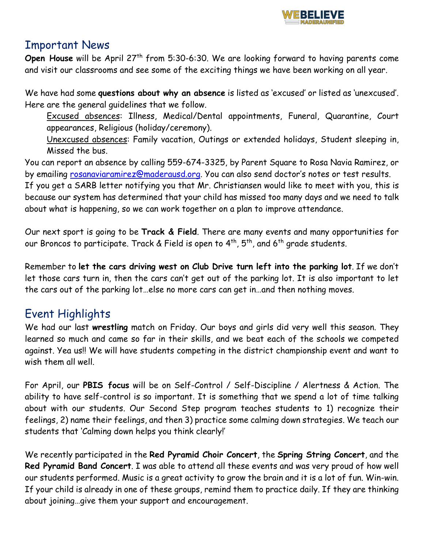

#### Important News

**Open House** will be April 27<sup>th</sup> from 5:30-6:30. We are looking forward to having parents come and visit our classrooms and see some of the exciting things we have been working on all year.

We have had some **questions about why an absence** is listed as 'excused' or listed as 'unexcused'. Here are the general guidelines that we follow.

Excused absences: Illness, Medical/Dental appointments, Funeral, Quarantine, Court appearances, Religious (holiday/ceremony).

Unexcused absences: Family vacation, Outings or extended holidays, Student sleeping in, Missed the bus.

You can report an absence by calling 559-674-3325, by Parent Square to Rosa Navia Ramirez, or by emailing [rosanaviaramirez@maderausd.org.](mailto:rosanaviaramirez@maderausd.org) You can also send doctor's notes or test results. If you get a SARB letter notifying you that Mr. Christiansen would like to meet with you, this is because our system has determined that your child has missed too many days and we need to talk about what is happening, so we can work together on a plan to improve attendance.

Our next sport is going to be **Track & Field**. There are many events and many opportunities for our Broncos to participate. Track & Field is open to  $4^{th}$ ,  $5^{th}$ , and  $6^{th}$  grade students.

Remember to **let the cars driving west on Club Drive turn left into the parking lot**. If we don't let those cars turn in, then the cars can't get out of the parking lot. It is also important to let the cars out of the parking lot…else no more cars can get in…and then nothing moves.

# Event Highlights

We had our last **wrestling** match on Friday. Our boys and girls did very well this season. They learned so much and came so far in their skills, and we beat each of the schools we competed against. Yea us!! We will have students competing in the district championship event and want to wish them all well.

For April, our **PBIS focus** will be on Self-Control / Self-Discipline / Alertness & Action. The ability to have self-control is so important. It is something that we spend a lot of time talking about with our students. Our Second Step program teaches students to 1) recognize their feelings, 2) name their feelings, and then 3) practice some calming down strategies. We teach our students that 'Calming down helps you think clearly!'

We recently participated in the **Red Pyramid Choir Concert**, the **Spring String Concert**, and the **Red Pyramid Band Concert**. I was able to attend all these events and was very proud of how well our students performed. Music is a great activity to grow the brain and it is a lot of fun. Win-win. If your child is already in one of these groups, remind them to practice daily. If they are thinking about joining…give them your support and encouragement.